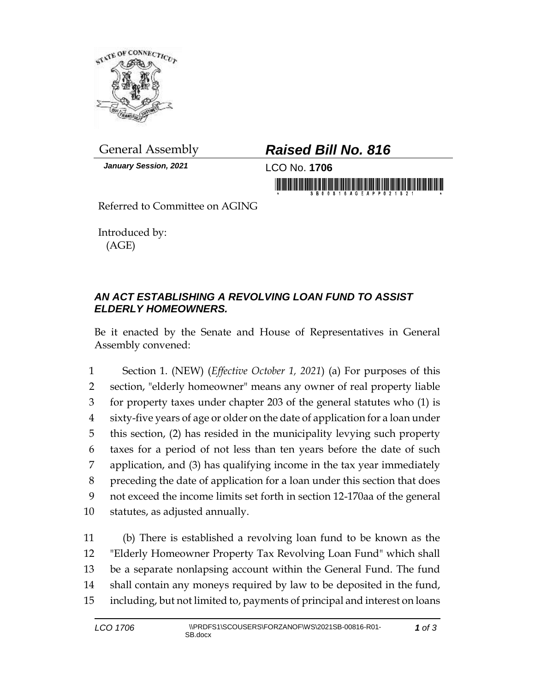

*January Session, 2021* LCO No. **1706**

## General Assembly *Raised Bill No. 816*

in monday is a basic of the first of the state of monday

Referred to Committee on AGING

Introduced by: (AGE)

## *AN ACT ESTABLISHING A REVOLVING LOAN FUND TO ASSIST ELDERLY HOMEOWNERS.*

Be it enacted by the Senate and House of Representatives in General Assembly convened:

 Section 1. (NEW) (*Effective October 1, 2021*) (a) For purposes of this section, "elderly homeowner" means any owner of real property liable for property taxes under chapter 203 of the general statutes who (1) is sixty-five years of age or older on the date of application for a loan under this section, (2) has resided in the municipality levying such property taxes for a period of not less than ten years before the date of such application, and (3) has qualifying income in the tax year immediately preceding the date of application for a loan under this section that does not exceed the income limits set forth in section 12-170aa of the general statutes, as adjusted annually.

 (b) There is established a revolving loan fund to be known as the "Elderly Homeowner Property Tax Revolving Loan Fund" which shall be a separate nonlapsing account within the General Fund. The fund shall contain any moneys required by law to be deposited in the fund, including, but not limited to, payments of principal and interest on loans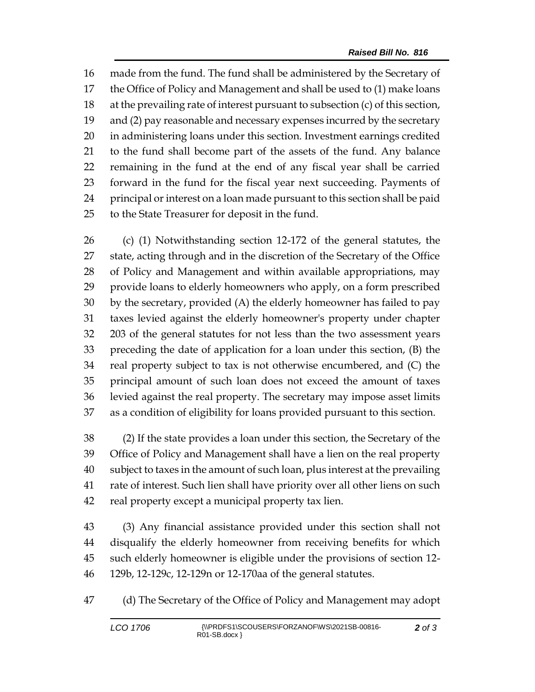made from the fund. The fund shall be administered by the Secretary of the Office of Policy and Management and shall be used to (1) make loans at the prevailing rate of interest pursuant to subsection (c) of this section, and (2) pay reasonable and necessary expenses incurred by the secretary in administering loans under this section. Investment earnings credited to the fund shall become part of the assets of the fund. Any balance remaining in the fund at the end of any fiscal year shall be carried forward in the fund for the fiscal year next succeeding. Payments of principal or interest on a loan made pursuant to this section shall be paid to the State Treasurer for deposit in the fund.

 (c) (1) Notwithstanding section 12-172 of the general statutes, the state, acting through and in the discretion of the Secretary of the Office of Policy and Management and within available appropriations, may provide loans to elderly homeowners who apply, on a form prescribed by the secretary, provided (A) the elderly homeowner has failed to pay taxes levied against the elderly homeowner's property under chapter 203 of the general statutes for not less than the two assessment years preceding the date of application for a loan under this section, (B) the real property subject to tax is not otherwise encumbered, and (C) the principal amount of such loan does not exceed the amount of taxes levied against the real property. The secretary may impose asset limits as a condition of eligibility for loans provided pursuant to this section.

 (2) If the state provides a loan under this section, the Secretary of the Office of Policy and Management shall have a lien on the real property subject to taxes in the amount of such loan, plus interest at the prevailing rate of interest. Such lien shall have priority over all other liens on such real property except a municipal property tax lien.

 (3) Any financial assistance provided under this section shall not disqualify the elderly homeowner from receiving benefits for which such elderly homeowner is eligible under the provisions of section 12- 129b, 12-129c, 12-129n or 12-170aa of the general statutes.

(d) The Secretary of the Office of Policy and Management may adopt